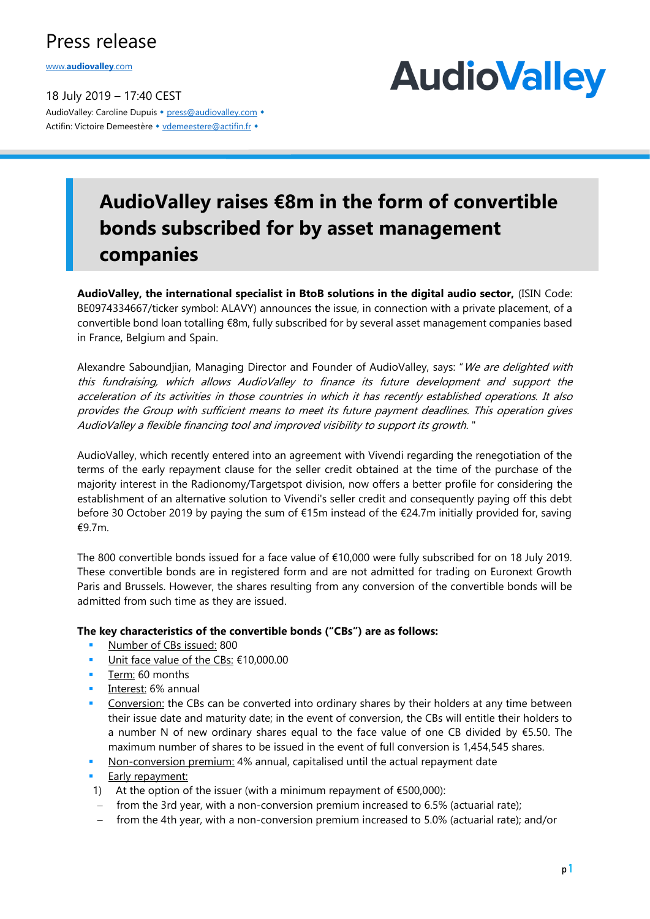## Press release

www.**[audiovalley](http://www.audiovalley.com/)**.com

18 July 2019 – 17:40 CEST AudioValley: Caroline Dupuis • [press@audiovalley.com](mailto:press@audiovalley.com) • Actifin: Victoire Demeestère • [vdemeestere@actifin.fr](mailto:vdemeestere@actifin.fr?subject=AUDIOVALLEY%20Question) •



## **AudioValley raises €8m in the form of convertible bonds subscribed for by asset management companies**

**AudioValley, the international specialist in BtoB solutions in the digital audio sector,** (ISIN Code: BE0974334667/ticker symbol: ALAVY) announces the issue, in connection with a private placement, of a convertible bond loan totalling €8m, fully subscribed for by several asset management companies based in France, Belgium and Spain.

Alexandre Saboundjian, Managing Director and Founder of AudioValley, says: "We are delighted with this fundraising, which allows AudioValley to finance its future development and support the acceleration of its activities in those countries in which it has recently established operations. It also provides the Group with sufficient means to meet its future payment deadlines. This operation gives AudioValley a flexible financing tool and improved visibility to support its growth. "

AudioValley, which recently entered into an agreement with Vivendi regarding the renegotiation of the terms of the early repayment clause for the seller credit obtained at the time of the purchase of the majority interest in the Radionomy/Targetspot division, now offers a better profile for considering the establishment of an alternative solution to Vivendi's seller credit and consequently paying off this debt before 30 October 2019 by paying the sum of €15m instead of the €24.7m initially provided for, saving €9.7m.

The 800 convertible bonds issued for a face value of €10,000 were fully subscribed for on 18 July 2019. These convertible bonds are in registered form and are not admitted for trading on Euronext Growth Paris and Brussels. However, the shares resulting from any conversion of the convertible bonds will be admitted from such time as they are issued.

#### **The key characteristics of the convertible bonds ("CBs") are as follows:**

- Number of CBs issued: 800
- Unit face value of the CBs: €10,000.00
- Term: 60 months
- Interest: 6% annual
- Conversion: the CBs can be converted into ordinary shares by their holders at any time between their issue date and maturity date; in the event of conversion, the CBs will entitle their holders to a number N of new ordinary shares equal to the face value of one CB divided by €5.50. The maximum number of shares to be issued in the event of full conversion is 1,454,545 shares.
- Non-conversion premium: 4% annual, capitalised until the actual repayment date
- **■** Early repayment:
- 1) At the option of the issuer (with a minimum repayment of  $£500,000$ ):
- − from the 3rd year, with a non-conversion premium increased to 6.5% (actuarial rate);
- − from the 4th year, with a non-conversion premium increased to 5.0% (actuarial rate); and/or